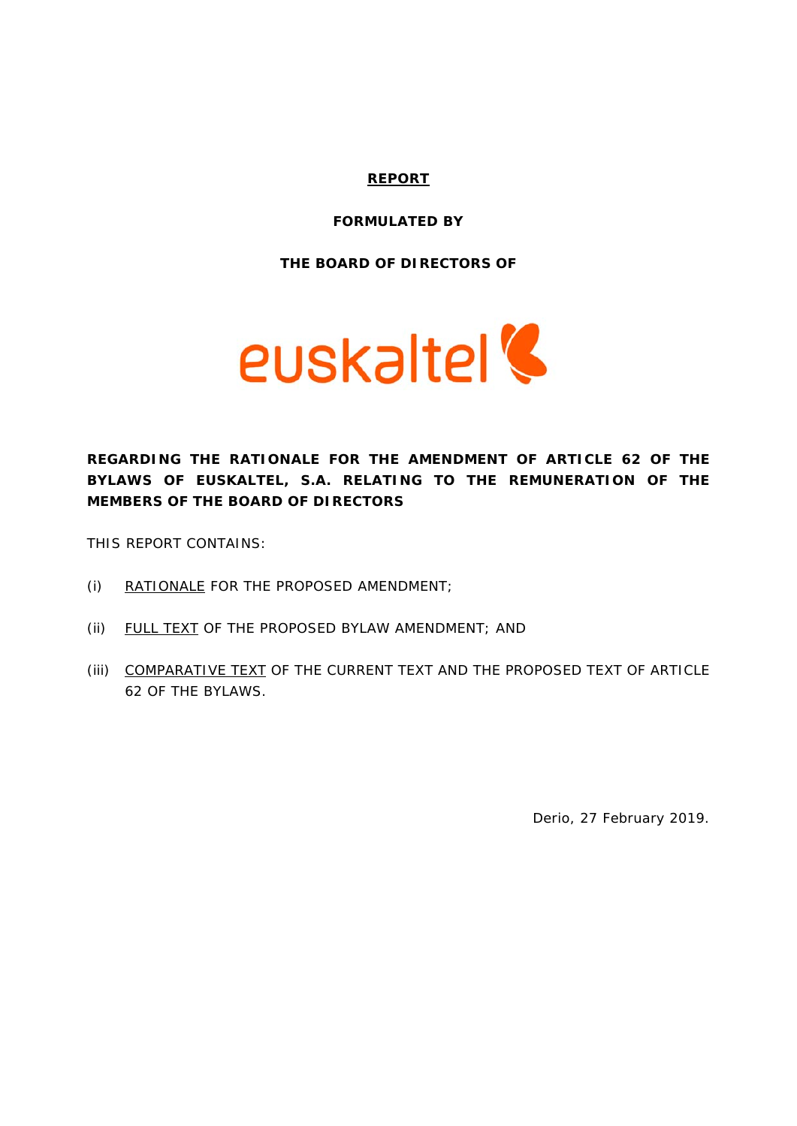#### **REPORT**

#### **FORMULATED BY**

**THE BOARD OF DIRECTORS OF** 



**REGARDING THE RATIONALE FOR THE AMENDMENT OF ARTICLE 62 OF THE BYLAWS OF EUSKALTEL, S.A. RELATING TO THE REMUNERATION OF THE MEMBERS OF THE BOARD OF DIRECTORS** 

THIS REPORT CONTAINS:

- (i) RATIONALE FOR THE PROPOSED AMENDMENT;
- (ii) FULL TEXT OF THE PROPOSED BYLAW AMENDMENT; AND
- (iii) COMPARATIVE TEXT OF THE CURRENT TEXT AND THE PROPOSED TEXT OF ARTICLE 62 OF THE BYLAWS.

Derio, 27 February 2019.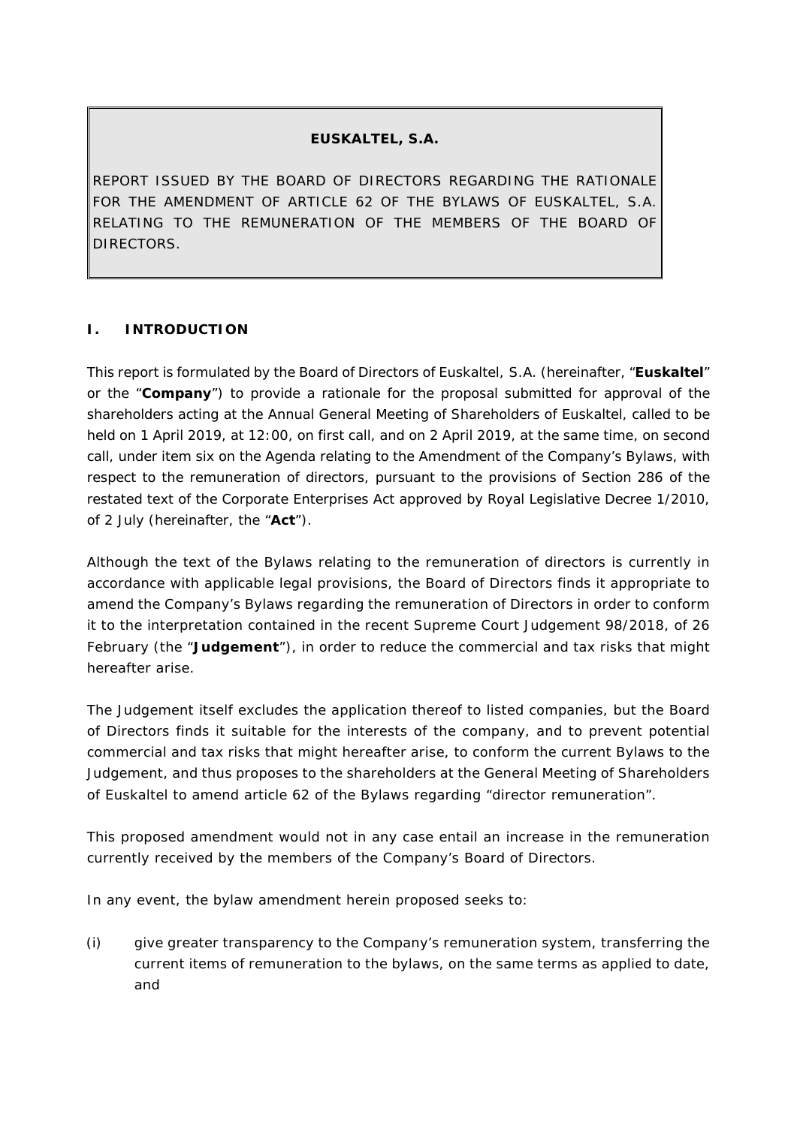# **EUSKALTEL, S.A.**

REPORT ISSUED BY THE BOARD OF DIRECTORS REGARDING THE RATIONALE FOR THE AMENDMENT OF ARTICLE 62 OF THE BYLAWS OF EUSKALTEL, S.A. RELATING TO THE REMUNERATION OF THE MEMBERS OF THE BOARD OF DIRECTORS.

# **I. INTRODUCTION**

This report is formulated by the Board of Directors of Euskaltel, S.A. (hereinafter, "**Euskaltel**" or the "**Company**") to provide a rationale for the proposal submitted for approval of the shareholders acting at the Annual General Meeting of Shareholders of Euskaltel, called to be held on 1 April 2019, at 12:00, on first call, and on 2 April 2019, at the same time, on second call, under item six on the Agenda relating to the Amendment of the Company's Bylaws, with respect to the remuneration of directors, pursuant to the provisions of Section 286 of the restated text of the Corporate Enterprises Act approved by Royal Legislative Decree 1/2010, of 2 July (hereinafter, the "**Act**").

Although the text of the Bylaws relating to the remuneration of directors is currently in accordance with applicable legal provisions, the Board of Directors finds it appropriate to amend the Company's Bylaws regarding the remuneration of Directors in order to conform it to the interpretation contained in the recent Supreme Court Judgement 98/2018, of 26 February (the "**Judgement**"), in order to reduce the commercial and tax risks that might hereafter arise.

The Judgement itself excludes the application thereof to listed companies, but the Board of Directors finds it suitable for the interests of the company, and to prevent potential commercial and tax risks that might hereafter arise, to conform the current Bylaws to the Judgement, and thus proposes to the shareholders at the General Meeting of Shareholders of Euskaltel to amend article 62 of the Bylaws regarding "*director remuneration*".

This proposed amendment would not in any case entail an increase in the remuneration currently received by the members of the Company's Board of Directors.

In any event, the bylaw amendment herein proposed seeks to:

(i) give greater transparency to the Company's remuneration system, transferring the current items of remuneration to the bylaws, on the same terms as applied to date, and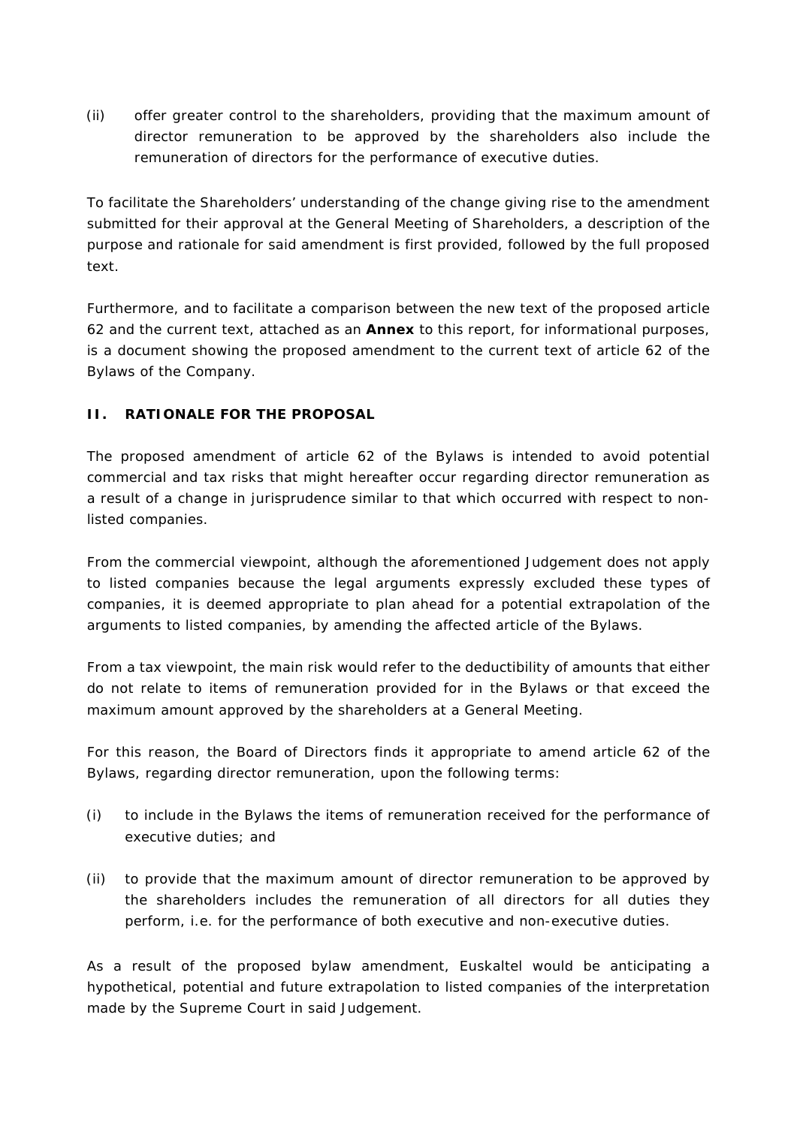(ii) offer greater control to the shareholders, providing that the maximum amount of director remuneration to be approved by the shareholders also include the remuneration of directors for the performance of executive duties.

To facilitate the Shareholders' understanding of the change giving rise to the amendment submitted for their approval at the General Meeting of Shareholders, a description of the purpose and rationale for said amendment is first provided, followed by the full proposed text.

Furthermore, and to facilitate a comparison between the new text of the proposed article 62 and the current text, attached as an **Annex** to this report, for informational purposes, is a document showing the proposed amendment to the current text of article 62 of the Bylaws of the Company.

# **II. RATIONALE FOR THE PROPOSAL**

The proposed amendment of article 62 of the Bylaws is intended to avoid potential commercial and tax risks that might hereafter occur regarding director remuneration as a result of a change in jurisprudence similar to that which occurred with respect to nonlisted companies.

From the commercial viewpoint, although the aforementioned Judgement does not apply to listed companies because the legal arguments expressly excluded these types of companies, it is deemed appropriate to plan ahead for a potential extrapolation of the arguments to listed companies, by amending the affected article of the Bylaws.

From a tax viewpoint, the main risk would refer to the deductibility of amounts that either do not relate to items of remuneration provided for in the Bylaws or that exceed the maximum amount approved by the shareholders at a General Meeting.

For this reason, the Board of Directors finds it appropriate to amend article 62 of the Bylaws, regarding director remuneration, upon the following terms:

- (i) to include in the Bylaws the items of remuneration received for the performance of executive duties; and
- (ii) to provide that the maximum amount of director remuneration to be approved by the shareholders includes the remuneration of all directors for all duties they perform, i.e. for the performance of both executive and non-executive duties.

As a result of the proposed bylaw amendment, Euskaltel would be anticipating a hypothetical, potential and future extrapolation to listed companies of the interpretation made by the Supreme Court in said Judgement.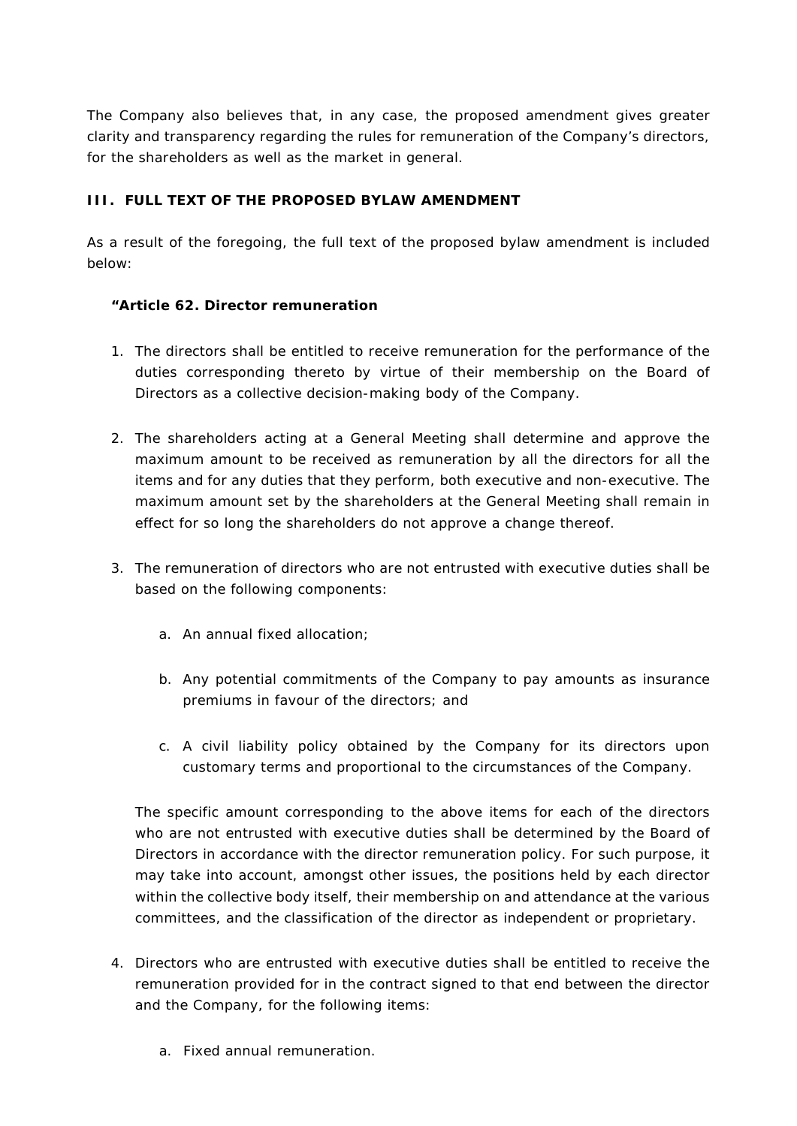The Company also believes that, in any case, the proposed amendment gives greater clarity and transparency regarding the rules for remuneration of the Company's directors, for the shareholders as well as the market in general.

### **III. FULL TEXT OF THE PROPOSED BYLAW AMENDMENT**

As a result of the foregoing, the full text of the proposed bylaw amendment is included below:

### *"Article 62. Director remuneration*

- 1. The directors shall be entitled to receive remuneration for the performance of the duties corresponding thereto by virtue of their membership on the Board of Directors as a collective decision-making body of the Company.
- 2. The shareholders acting at a General Meeting shall determine and approve the maximum amount to be received as remuneration by all the directors for all the items and for any duties that they perform, both executive and non-executive. The maximum amount set by the shareholders at the General Meeting shall remain in effect for so long the shareholders do not approve a change thereof.
- 3. The remuneration of directors who are not entrusted with executive duties shall be based on the following components:
	- a. An annual fixed allocation;
	- b. Any potential commitments of the Company to pay amounts as insurance premiums in favour of the directors; and
	- c. A civil liability policy obtained by the Company for its directors upon customary terms and proportional to the circumstances of the Company.

The specific amount corresponding to the above items for each of the directors who are not entrusted with executive duties shall be determined by the Board of Directors in accordance with the director remuneration policy. For such purpose, it may take into account, amongst other issues, the positions held by each director within the collective body itself, their membership on and attendance at the various committees, and the classification of the director as independent or proprietary.

- 4. Directors who are entrusted with executive duties shall be entitled to receive the remuneration provided for in the contract signed to that end between the director and the Company, for the following items:
	- a. Fixed annual remuneration.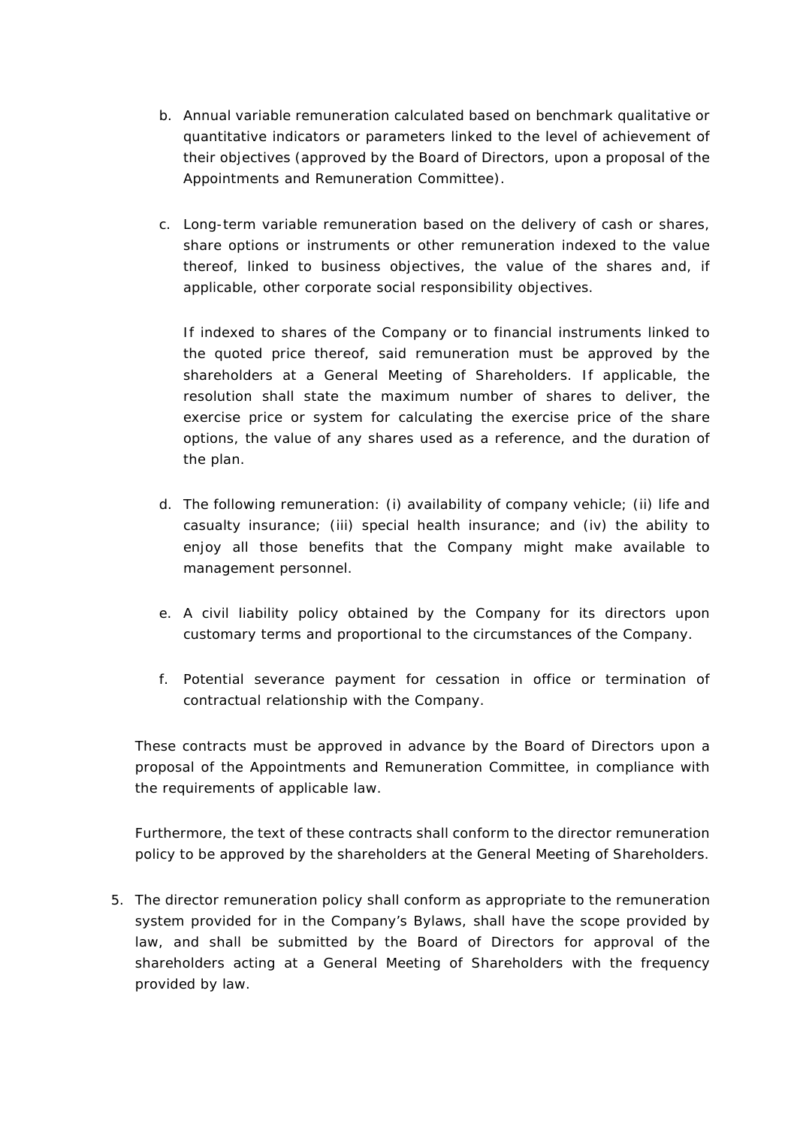- b. Annual variable remuneration calculated based on benchmark qualitative or quantitative indicators or parameters linked to the level of achievement of their objectives (approved by the Board of Directors, upon a proposal of the Appointments and Remuneration Committee).
- c. Long-term variable remuneration based on the delivery of cash or shares, share options or instruments or other remuneration indexed to the value thereof, linked to business objectives, the value of the shares and, if applicable, other corporate social responsibility objectives.

If indexed to shares of the Company or to financial instruments linked to the quoted price thereof, said remuneration must be approved by the shareholders at a General Meeting of Shareholders. If applicable, the resolution shall state the maximum number of shares to deliver, the exercise price or system for calculating the exercise price of the share options, the value of any shares used as a reference, and the duration of the plan.

- d. The following remuneration: (i) availability of company vehicle; (ii) life and casualty insurance; (iii) special health insurance; and (iv) the ability to enjoy all those benefits that the Company might make available to management personnel.
- e. A civil liability policy obtained by the Company for its directors upon customary terms and proportional to the circumstances of the Company.
- f. Potential severance payment for cessation in office or termination of contractual relationship with the Company.

These contracts must be approved in advance by the Board of Directors upon a proposal of the Appointments and Remuneration Committee, in compliance with the requirements of applicable law.

Furthermore, the text of these contracts shall conform to the director remuneration policy to be approved by the shareholders at the General Meeting of Shareholders.

5. The director remuneration policy shall conform as appropriate to the remuneration system provided for in the Company's Bylaws, shall have the scope provided by law, and shall be submitted by the Board of Directors for approval of the shareholders acting at a General Meeting of Shareholders with the frequency provided by law.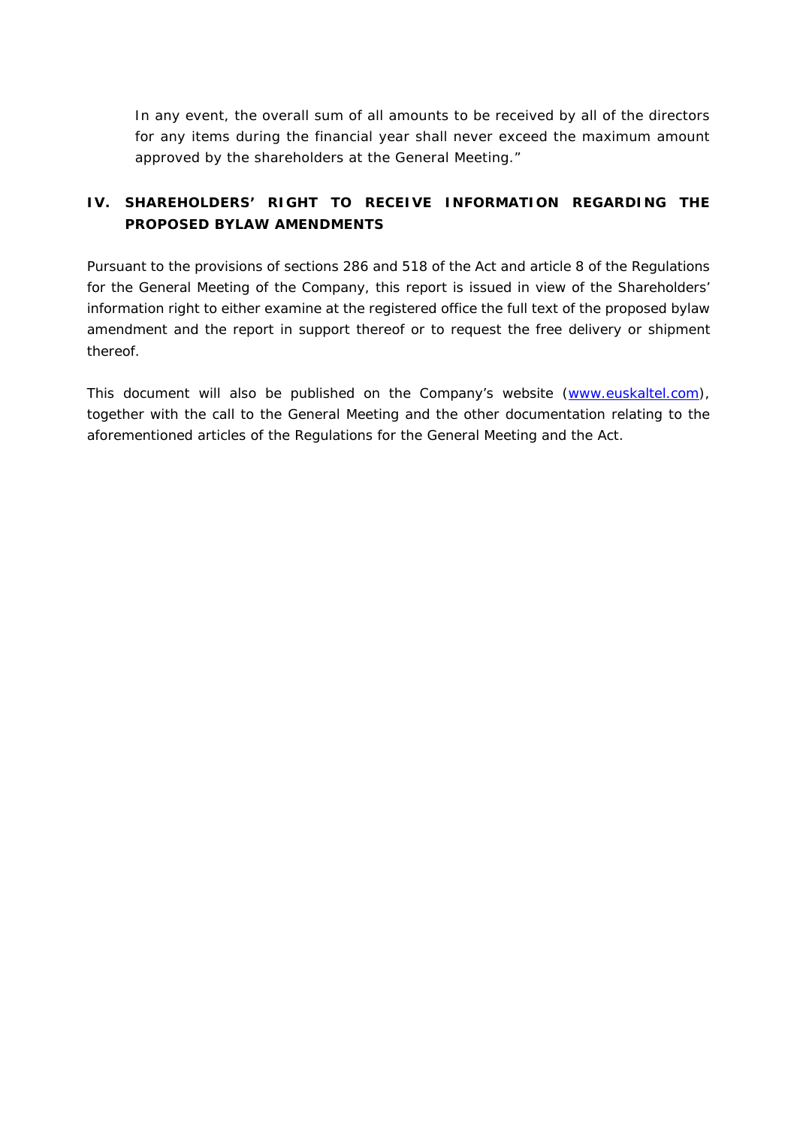In any event, the overall sum of all amounts to be received by all of the directors for any items during the financial year shall never exceed the maximum amount approved by the shareholders at the General Meeting."

# **IV. SHAREHOLDERS' RIGHT TO RECEIVE INFORMATION REGARDING THE PROPOSED BYLAW AMENDMENTS**

Pursuant to the provisions of sections 286 and 518 of the Act and article 8 of the Regulations for the General Meeting of the Company, this report is issued in view of the Shareholders' information right to either examine at the registered office the full text of the proposed bylaw amendment and the report in support thereof or to request the free delivery or shipment thereof.

This document will also be published on the Company's website (www.euskaltel.com), together with the call to the General Meeting and the other documentation relating to the aforementioned articles of the Regulations for the General Meeting and the Act.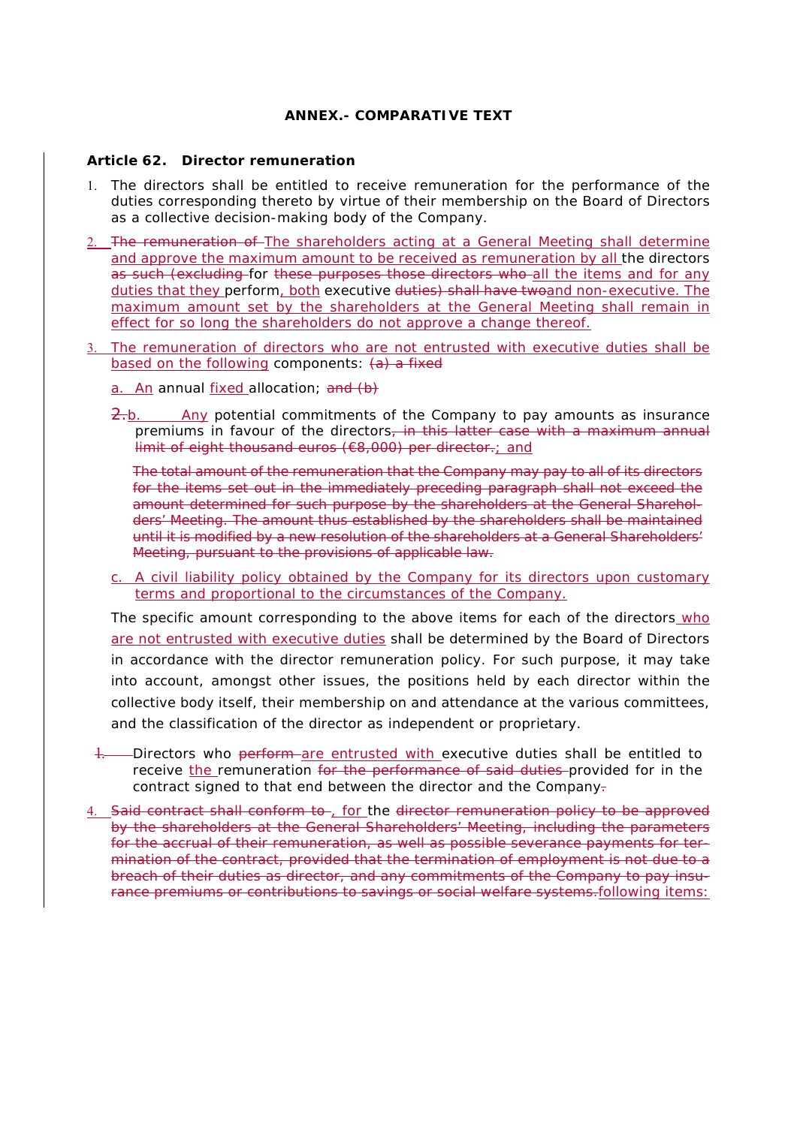#### **ANNEX.- COMPARATIVE TEXT**

#### **Article 62. Director remuneration**

- 1. The directors shall be entitled to receive remuneration for the performance of the duties corresponding thereto by virtue of their membership on the Board of Directors as a collective decision-making body of the Company.
- 2. The remuneration of The shareholders acting at a General Meeting shall determine and approve the maximum amount to be received as remuneration by all the directors as such (excluding for these purposes those directors who all the items and for any duties that they perform, both executive duties) shall have two and non-executive. The maximum amount set by the shareholders at the General Meeting shall remain in effect for so long the shareholders do not approve a change thereof.
- 3. The remuneration of directors who are not entrusted with executive duties shall be based on the following components:  $(a)$  a fixed
	- a. An annual fixed allocation; and (b)
	- $\frac{2}{b}$ . Any potential commitments of the Company to pay amounts as insurance premiums in favour of the directors, in this latter case with a maximum annual limit of eight thousand euros (€8,000) per director.; and

The total amount of the remuneration that the Company may pay to all of its directors for the items set out in the immediately preceding paragraph shall not exceed the amount determined for such purpose by the shareholders at the General Shareholders' Meeting. The amount thus established by the shareholders shall be maintained until it is modified by a new resolution of the shareholders at a General Shareholders' Meeting, pursuant to the provisions of applicable law.

c. A civil liability policy obtained by the Company for its directors upon customary terms and proportional to the circumstances of the Company.

The specific amount corresponding to the above items for each of the directors who are not entrusted with executive duties shall be determined by the Board of Directors in accordance with the director remuneration policy. For such purpose, it may take into account, amongst other issues, the positions held by each director within the collective body itself, their membership on and attendance at the various committees, and the classification of the director as independent or proprietary.

- 1. Directors who perform are entrusted with executive duties shall be entitled to receive the remuneration for the performance of said duties provided for in the contract signed to that end between the director and the Company-
- 4. Said contract shall conform to , for the director remuneration policy to be approved by the shareholders at the General Shareholders' Meeting, including the parameters for the accrual of their remuneration, as well as possible severance payments for termination of the contract, provided that the termination of employment is not due to a breach of their duties as director, and any commitments of the Company to pay insurance premiums or contributions to savings or social welfare systems.following items: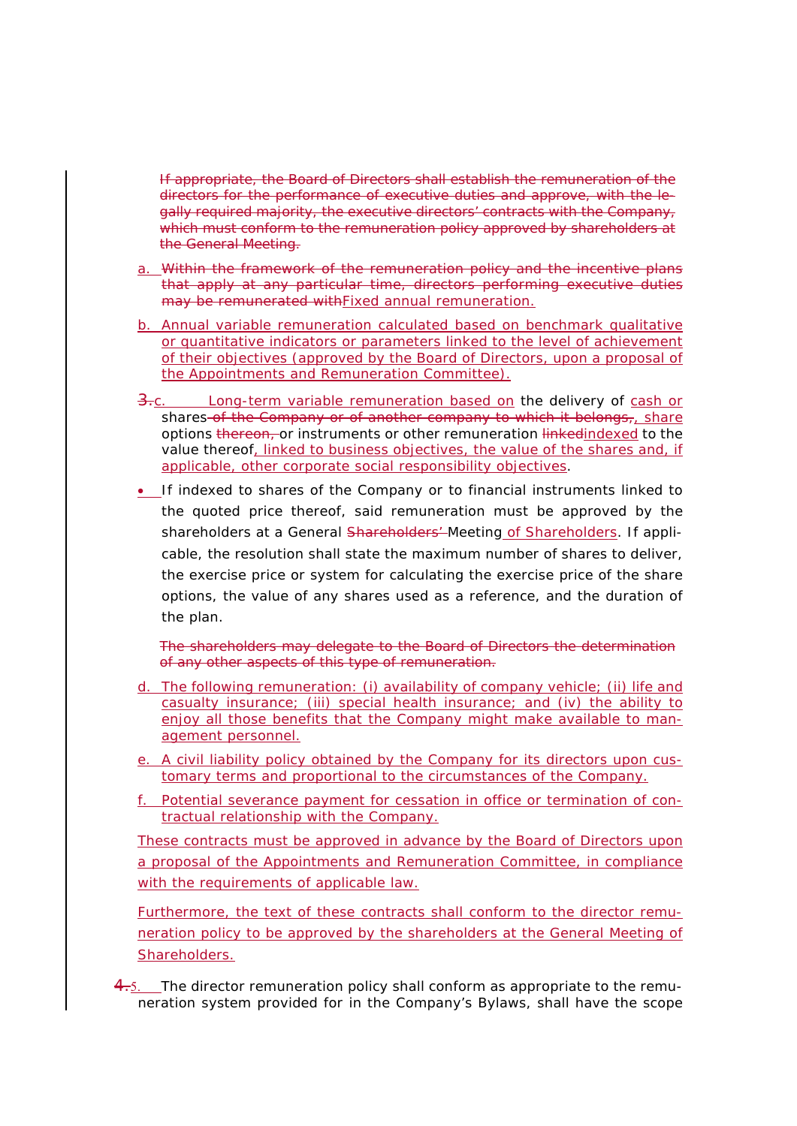If appropriate, the Board of Directors shall establish the remuneration of the directors for the performance of executive duties and approve, with the legally required majority, the executive directors' contracts with the Company, which must conform to the remuneration policy approved by shareholders at the General Meeting.

- a. Within the framework of the remuneration policy and the incentive plans that apply at any particular time, directors performing executive duties may be remunerated with Fixed annual remuneration.
- b. Annual variable remuneration calculated based on benchmark qualitative or quantitative indicators or parameters linked to the level of achievement of their objectives (approved by the Board of Directors, upon a proposal of the Appointments and Remuneration Committee).
- Long-term variable remuneration based on the delivery of cash or shares of the Company or of another company to which it belongs, share options thereon, or instruments or other remuneration linkedindexed to the value thereof, linked to business objectives, the value of the shares and, if applicable, other corporate social responsibility objectives.
- If indexed to shares of the Company or to financial instruments linked to the quoted price thereof, said remuneration must be approved by the shareholders at a General Shareholders' Meeting of Shareholders. If applicable, the resolution shall state the maximum number of shares to deliver, the exercise price or system for calculating the exercise price of the share options, the value of any shares used as a reference, and the duration of the plan.

The shareholders may delegate to the Board of Directors the determination of any other aspects of this type of remuneration.

- d. The following remuneration: (i) availability of company vehicle; (ii) life and casualty insurance; (iii) special health insurance; and (iv) the ability to enjoy all those benefits that the Company might make available to management personnel.
- e. A civil liability policy obtained by the Company for its directors upon customary terms and proportional to the circumstances of the Company.
- f. Potential severance payment for cessation in office or termination of contractual relationship with the Company.

These contracts must be approved in advance by the Board of Directors upon a proposal of the Appointments and Remuneration Committee, in compliance with the requirements of applicable law.

Furthermore, the text of these contracts shall conform to the director remuneration policy to be approved by the shareholders at the General Meeting of Shareholders.

 $4.5.$  The director remuneration policy shall conform as appropriate to the remuneration system provided for in the Company's Bylaws, shall have the scope